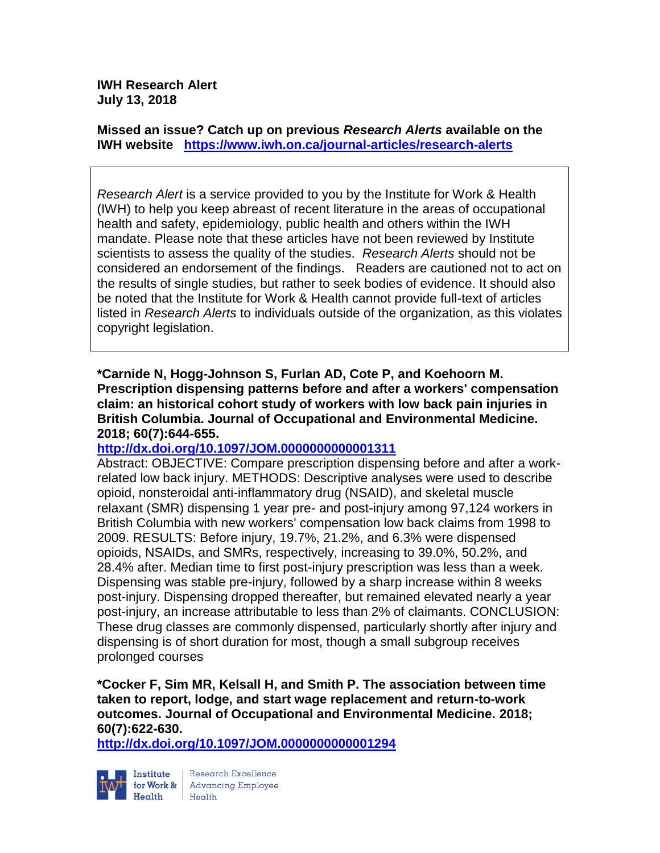**IWH Research Alert July 13, 2018**

**Missed an issue? Catch up on previous** *Research Alerts* **available on the [IWH website](http://www.iwh.on.ca/research-alerts) <https://www.iwh.on.ca/journal-articles/research-alerts>**

*Research Alert* is a service provided to you by the Institute for Work & Health (IWH) to help you keep abreast of recent literature in the areas of occupational health and safety, epidemiology, public health and others within the IWH mandate. Please note that these articles have not been reviewed by Institute scientists to assess the quality of the studies. *Research Alerts* should not be considered an endorsement of the findings. Readers are cautioned not to act on the results of single studies, but rather to seek bodies of evidence. It should also be noted that the Institute for Work & Health cannot provide full-text of articles listed in *Research Alerts* to individuals outside of the organization, as this violates copyright legislation.

**\*Carnide N, Hogg-Johnson S, Furlan AD, Cote P, and Koehoorn M. Prescription dispensing patterns before and after a workers' compensation claim: an historical cohort study of workers with low back pain injuries in British Columbia. Journal of Occupational and Environmental Medicine. 2018; 60(7):644-655.** 

# **<http://dx.doi.org/10.1097/JOM.0000000000001311>**

Abstract: OBJECTIVE: Compare prescription dispensing before and after a workrelated low back injury. METHODS: Descriptive analyses were used to describe opioid, nonsteroidal anti-inflammatory drug (NSAID), and skeletal muscle relaxant (SMR) dispensing 1 year pre- and post-injury among 97,124 workers in British Columbia with new workers' compensation low back claims from 1998 to 2009. RESULTS: Before injury, 19.7%, 21.2%, and 6.3% were dispensed opioids, NSAIDs, and SMRs, respectively, increasing to 39.0%, 50.2%, and 28.4% after. Median time to first post-injury prescription was less than a week. Dispensing was stable pre-injury, followed by a sharp increase within 8 weeks post-injury. Dispensing dropped thereafter, but remained elevated nearly a year post-injury, an increase attributable to less than 2% of claimants. CONCLUSION: These drug classes are commonly dispensed, particularly shortly after injury and dispensing is of short duration for most, though a small subgroup receives prolonged courses

**\*Cocker F, Sim MR, Kelsall H, and Smith P. The association between time taken to report, lodge, and start wage replacement and return-to-work outcomes. Journal of Occupational and Environmental Medicine. 2018; 60(7):622-630.** 

**<http://dx.doi.org/10.1097/JOM.0000000000001294>**



Research Excellence for Work & | Advancing Employee Health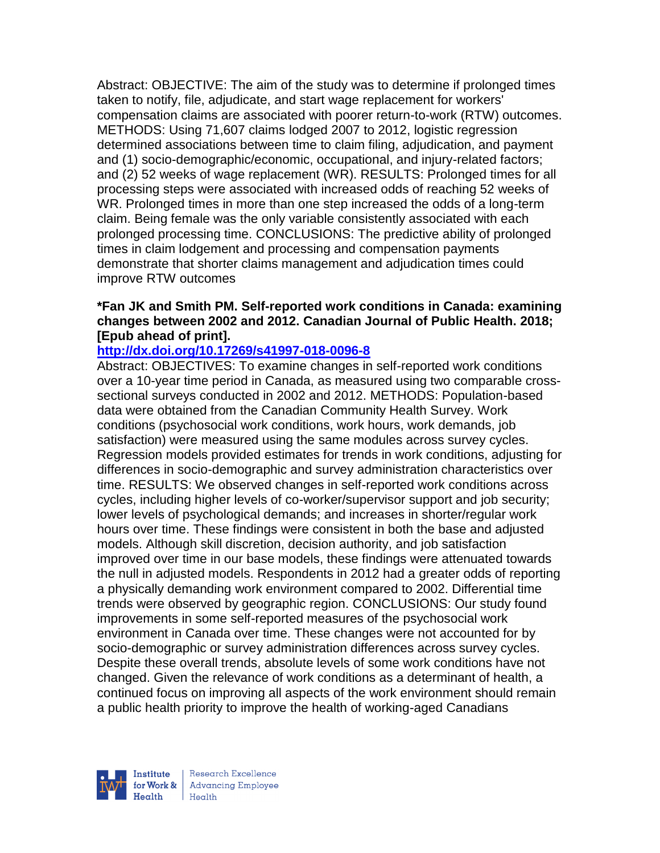Abstract: OBJECTIVE: The aim of the study was to determine if prolonged times taken to notify, file, adjudicate, and start wage replacement for workers' compensation claims are associated with poorer return-to-work (RTW) outcomes. METHODS: Using 71,607 claims lodged 2007 to 2012, logistic regression determined associations between time to claim filing, adjudication, and payment and (1) socio-demographic/economic, occupational, and injury-related factors; and (2) 52 weeks of wage replacement (WR). RESULTS: Prolonged times for all processing steps were associated with increased odds of reaching 52 weeks of WR. Prolonged times in more than one step increased the odds of a long-term claim. Being female was the only variable consistently associated with each prolonged processing time. CONCLUSIONS: The predictive ability of prolonged times in claim lodgement and processing and compensation payments demonstrate that shorter claims management and adjudication times could improve RTW outcomes

# **\*Fan JK and Smith PM. Self-reported work conditions in Canada: examining changes between 2002 and 2012. Canadian Journal of Public Health. 2018; [Epub ahead of print].**

# **<http://dx.doi.org/10.17269/s41997-018-0096-8>**

Abstract: OBJECTIVES: To examine changes in self-reported work conditions over a 10-year time period in Canada, as measured using two comparable crosssectional surveys conducted in 2002 and 2012. METHODS: Population-based data were obtained from the Canadian Community Health Survey. Work conditions (psychosocial work conditions, work hours, work demands, job satisfaction) were measured using the same modules across survey cycles. Regression models provided estimates for trends in work conditions, adjusting for differences in socio-demographic and survey administration characteristics over time. RESULTS: We observed changes in self-reported work conditions across cycles, including higher levels of co-worker/supervisor support and job security; lower levels of psychological demands; and increases in shorter/regular work hours over time. These findings were consistent in both the base and adjusted models. Although skill discretion, decision authority, and job satisfaction improved over time in our base models, these findings were attenuated towards the null in adjusted models. Respondents in 2012 had a greater odds of reporting a physically demanding work environment compared to 2002. Differential time trends were observed by geographic region. CONCLUSIONS: Our study found improvements in some self-reported measures of the psychosocial work environment in Canada over time. These changes were not accounted for by socio-demographic or survey administration differences across survey cycles. Despite these overall trends, absolute levels of some work conditions have not changed. Given the relevance of work conditions as a determinant of health, a continued focus on improving all aspects of the work environment should remain a public health priority to improve the health of working-aged Canadians



| Research Excellence for Work & | Advancing Employee  $H_{\text{eath}}$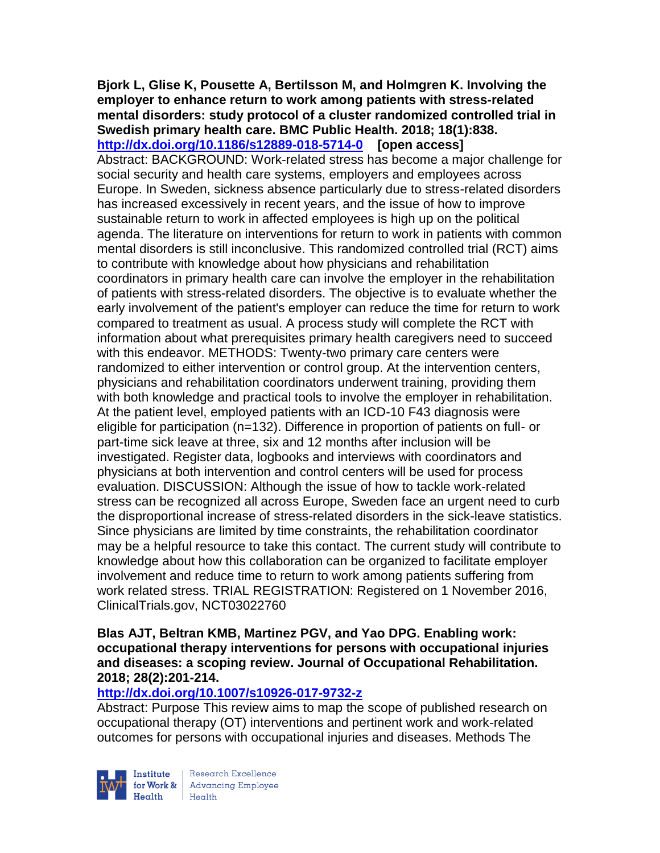**Bjork L, Glise K, Pousette A, Bertilsson M, and Holmgren K. Involving the employer to enhance return to work among patients with stress-related mental disorders: study protocol of a cluster randomized controlled trial in Swedish primary health care. BMC Public Health. 2018; 18(1):838. <http://dx.doi.org/10.1186/s12889-018-5714-0>[open access]** Abstract: BACKGROUND: Work-related stress has become a major challenge for social security and health care systems, employers and employees across Europe. In Sweden, sickness absence particularly due to stress-related disorders has increased excessively in recent years, and the issue of how to improve sustainable return to work in affected employees is high up on the political agenda. The literature on interventions for return to work in patients with common mental disorders is still inconclusive. This randomized controlled trial (RCT) aims to contribute with knowledge about how physicians and rehabilitation coordinators in primary health care can involve the employer in the rehabilitation of patients with stress-related disorders. The objective is to evaluate whether the early involvement of the patient's employer can reduce the time for return to work compared to treatment as usual. A process study will complete the RCT with information about what prerequisites primary health caregivers need to succeed with this endeavor. METHODS: Twenty-two primary care centers were randomized to either intervention or control group. At the intervention centers, physicians and rehabilitation coordinators underwent training, providing them with both knowledge and practical tools to involve the employer in rehabilitation. At the patient level, employed patients with an ICD-10 F43 diagnosis were eligible for participation (n=132). Difference in proportion of patients on full- or part-time sick leave at three, six and 12 months after inclusion will be investigated. Register data, logbooks and interviews with coordinators and physicians at both intervention and control centers will be used for process evaluation. DISCUSSION: Although the issue of how to tackle work-related stress can be recognized all across Europe, Sweden face an urgent need to curb the disproportional increase of stress-related disorders in the sick-leave statistics. Since physicians are limited by time constraints, the rehabilitation coordinator may be a helpful resource to take this contact. The current study will contribute to knowledge about how this collaboration can be organized to facilitate employer involvement and reduce time to return to work among patients suffering from work related stress. TRIAL REGISTRATION: Registered on 1 November 2016, ClinicalTrials.gov, NCT03022760

**Blas AJT, Beltran KMB, Martinez PGV, and Yao DPG. Enabling work: occupational therapy interventions for persons with occupational injuries and diseases: a scoping review. Journal of Occupational Rehabilitation. 2018; 28(2):201-214.** 

#### **<http://dx.doi.org/10.1007/s10926-017-9732-z>**

Abstract: Purpose This review aims to map the scope of published research on occupational therapy (OT) interventions and pertinent work and work-related outcomes for persons with occupational injuries and diseases. Methods The



Research Excellence for Work & Advancing Employee<br>Health Health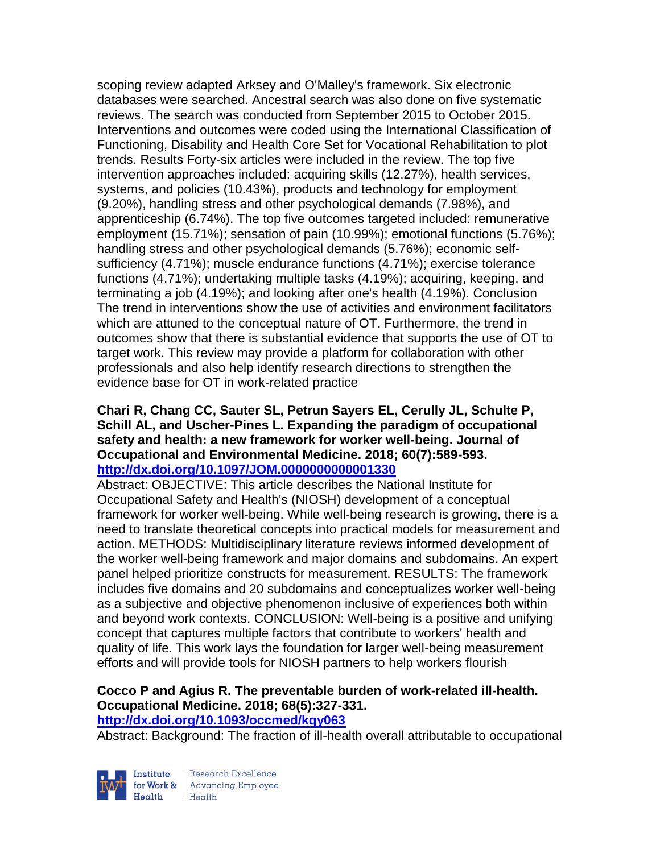scoping review adapted Arksey and O'Malley's framework. Six electronic databases were searched. Ancestral search was also done on five systematic reviews. The search was conducted from September 2015 to October 2015. Interventions and outcomes were coded using the International Classification of Functioning, Disability and Health Core Set for Vocational Rehabilitation to plot trends. Results Forty-six articles were included in the review. The top five intervention approaches included: acquiring skills (12.27%), health services, systems, and policies (10.43%), products and technology for employment (9.20%), handling stress and other psychological demands (7.98%), and apprenticeship (6.74%). The top five outcomes targeted included: remunerative employment (15.71%); sensation of pain (10.99%); emotional functions (5.76%); handling stress and other psychological demands (5.76%); economic selfsufficiency (4.71%); muscle endurance functions (4.71%); exercise tolerance functions (4.71%); undertaking multiple tasks (4.19%); acquiring, keeping, and terminating a job (4.19%); and looking after one's health (4.19%). Conclusion The trend in interventions show the use of activities and environment facilitators which are attuned to the conceptual nature of OT. Furthermore, the trend in outcomes show that there is substantial evidence that supports the use of OT to target work. This review may provide a platform for collaboration with other professionals and also help identify research directions to strengthen the evidence base for OT in work-related practice

# **Chari R, Chang CC, Sauter SL, Petrun Sayers EL, Cerully JL, Schulte P, Schill AL, and Uscher-Pines L. Expanding the paradigm of occupational safety and health: a new framework for worker well-being. Journal of Occupational and Environmental Medicine. 2018; 60(7):589-593. <http://dx.doi.org/10.1097/JOM.0000000000001330>**

Abstract: OBJECTIVE: This article describes the National Institute for Occupational Safety and Health's (NIOSH) development of a conceptual framework for worker well-being. While well-being research is growing, there is a need to translate theoretical concepts into practical models for measurement and action. METHODS: Multidisciplinary literature reviews informed development of the worker well-being framework and major domains and subdomains. An expert panel helped prioritize constructs for measurement. RESULTS: The framework includes five domains and 20 subdomains and conceptualizes worker well-being as a subjective and objective phenomenon inclusive of experiences both within and beyond work contexts. CONCLUSION: Well-being is a positive and unifying concept that captures multiple factors that contribute to workers' health and quality of life. This work lays the foundation for larger well-being measurement efforts and will provide tools for NIOSH partners to help workers flourish

# **Cocco P and Agius R. The preventable burden of work-related ill-health. Occupational Medicine. 2018; 68(5):327-331.**

#### **<http://dx.doi.org/10.1093/occmed/kqy063>**

Abstract: Background: The fraction of ill-health overall attributable to occupational



Research Excellence for Work & | Advancing Employee Health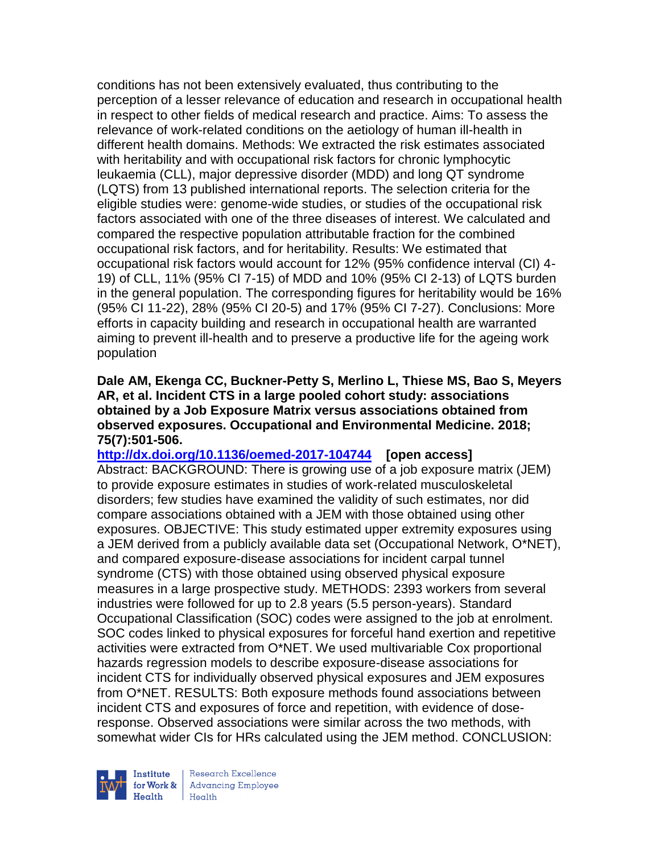conditions has not been extensively evaluated, thus contributing to the perception of a lesser relevance of education and research in occupational health in respect to other fields of medical research and practice. Aims: To assess the relevance of work-related conditions on the aetiology of human ill-health in different health domains. Methods: We extracted the risk estimates associated with heritability and with occupational risk factors for chronic lymphocytic leukaemia (CLL), major depressive disorder (MDD) and long QT syndrome (LQTS) from 13 published international reports. The selection criteria for the eligible studies were: genome-wide studies, or studies of the occupational risk factors associated with one of the three diseases of interest. We calculated and compared the respective population attributable fraction for the combined occupational risk factors, and for heritability. Results: We estimated that occupational risk factors would account for 12% (95% confidence interval (CI) 4- 19) of CLL, 11% (95% CI 7-15) of MDD and 10% (95% CI 2-13) of LQTS burden in the general population. The corresponding figures for heritability would be 16% (95% CI 11-22), 28% (95% CI 20-5) and 17% (95% CI 7-27). Conclusions: More efforts in capacity building and research in occupational health are warranted aiming to prevent ill-health and to preserve a productive life for the ageing work population

# **Dale AM, Ekenga CC, Buckner-Petty S, Merlino L, Thiese MS, Bao S, Meyers AR, et al. Incident CTS in a large pooled cohort study: associations obtained by a Job Exposure Matrix versus associations obtained from observed exposures. Occupational and Environmental Medicine. 2018; 75(7):501-506.**

**<http://dx.doi.org/10.1136/oemed-2017-104744>[open access]** Abstract: BACKGROUND: There is growing use of a job exposure matrix (JEM) to provide exposure estimates in studies of work-related musculoskeletal disorders; few studies have examined the validity of such estimates, nor did compare associations obtained with a JEM with those obtained using other exposures. OBJECTIVE: This study estimated upper extremity exposures using a JEM derived from a publicly available data set (Occupational Network, O\*NET), and compared exposure-disease associations for incident carpal tunnel syndrome (CTS) with those obtained using observed physical exposure measures in a large prospective study. METHODS: 2393 workers from several industries were followed for up to 2.8 years (5.5 person-years). Standard Occupational Classification (SOC) codes were assigned to the job at enrolment. SOC codes linked to physical exposures for forceful hand exertion and repetitive activities were extracted from O\*NET. We used multivariable Cox proportional hazards regression models to describe exposure-disease associations for incident CTS for individually observed physical exposures and JEM exposures from O\*NET. RESULTS: Both exposure methods found associations between incident CTS and exposures of force and repetition, with evidence of doseresponse. Observed associations were similar across the two methods, with somewhat wider CIs for HRs calculated using the JEM method. CONCLUSION:

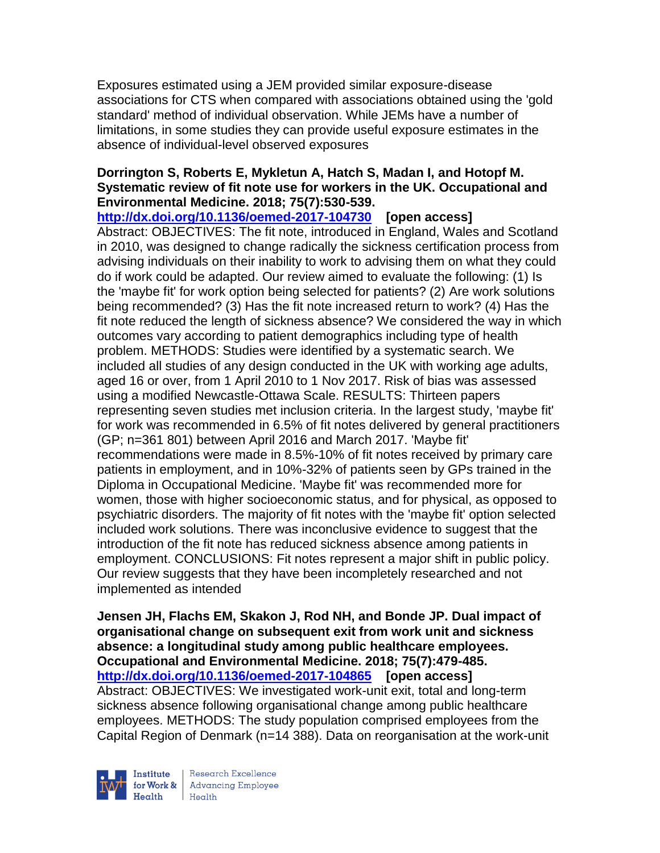Exposures estimated using a JEM provided similar exposure-disease associations for CTS when compared with associations obtained using the 'gold standard' method of individual observation. While JEMs have a number of limitations, in some studies they can provide useful exposure estimates in the absence of individual-level observed exposures

# **Dorrington S, Roberts E, Mykletun A, Hatch S, Madan I, and Hotopf M. Systematic review of fit note use for workers in the UK. Occupational and Environmental Medicine. 2018; 75(7):530-539.**

**<http://dx.doi.org/10.1136/oemed-2017-104730>[open access]** Abstract: OBJECTIVES: The fit note, introduced in England, Wales and Scotland in 2010, was designed to change radically the sickness certification process from advising individuals on their inability to work to advising them on what they could do if work could be adapted. Our review aimed to evaluate the following: (1) Is the 'maybe fit' for work option being selected for patients? (2) Are work solutions being recommended? (3) Has the fit note increased return to work? (4) Has the fit note reduced the length of sickness absence? We considered the way in which outcomes vary according to patient demographics including type of health problem. METHODS: Studies were identified by a systematic search. We included all studies of any design conducted in the UK with working age adults, aged 16 or over, from 1 April 2010 to 1 Nov 2017. Risk of bias was assessed using a modified Newcastle-Ottawa Scale. RESULTS: Thirteen papers representing seven studies met inclusion criteria. In the largest study, 'maybe fit' for work was recommended in 6.5% of fit notes delivered by general practitioners (GP; n=361 801) between April 2016 and March 2017. 'Maybe fit' recommendations were made in 8.5%-10% of fit notes received by primary care patients in employment, and in 10%-32% of patients seen by GPs trained in the Diploma in Occupational Medicine. 'Maybe fit' was recommended more for women, those with higher socioeconomic status, and for physical, as opposed to psychiatric disorders. The majority of fit notes with the 'maybe fit' option selected included work solutions. There was inconclusive evidence to suggest that the introduction of the fit note has reduced sickness absence among patients in employment. CONCLUSIONS: Fit notes represent a major shift in public policy. Our review suggests that they have been incompletely researched and not implemented as intended

**Jensen JH, Flachs EM, Skakon J, Rod NH, and Bonde JP. Dual impact of organisational change on subsequent exit from work unit and sickness absence: a longitudinal study among public healthcare employees. Occupational and Environmental Medicine. 2018; 75(7):479-485. <http://dx.doi.org/10.1136/oemed-2017-104865>[open access]** Abstract: OBJECTIVES: We investigated work-unit exit, total and long-term sickness absence following organisational change among public healthcare employees. METHODS: The study population comprised employees from the Capital Region of Denmark (n=14 388). Data on reorganisation at the work-unit



Research Excellence **Institute** Research Excellence<br> **For Work &**<br>
Morth Harlth Harlth  $H_{\text{eath}}$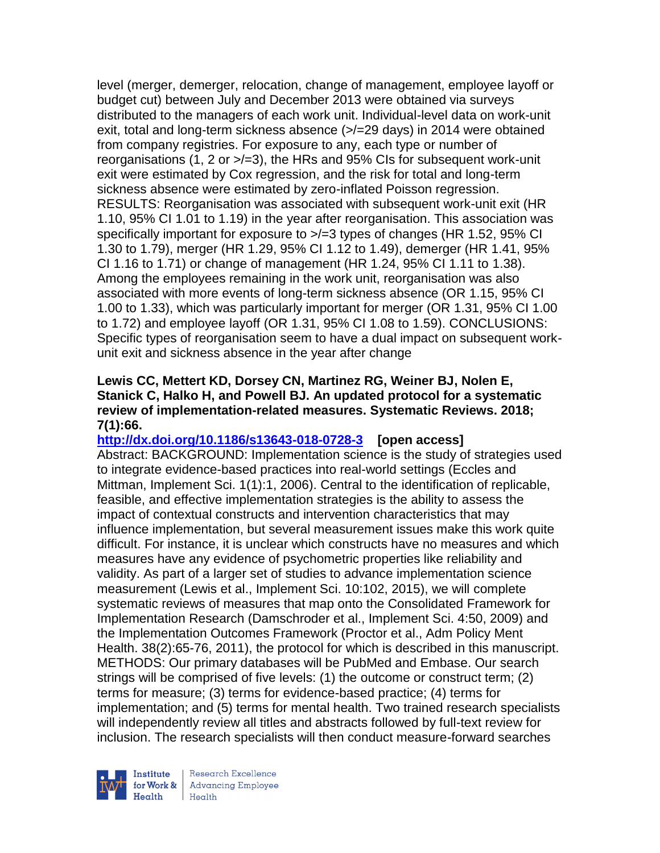level (merger, demerger, relocation, change of management, employee layoff or budget cut) between July and December 2013 were obtained via surveys distributed to the managers of each work unit. Individual-level data on work-unit exit, total and long-term sickness absence (>/=29 days) in 2014 were obtained from company registries. For exposure to any, each type or number of reorganisations (1, 2 or >/=3), the HRs and 95% CIs for subsequent work-unit exit were estimated by Cox regression, and the risk for total and long-term sickness absence were estimated by zero-inflated Poisson regression. RESULTS: Reorganisation was associated with subsequent work-unit exit (HR 1.10, 95% CI 1.01 to 1.19) in the year after reorganisation. This association was specifically important for exposure to >/=3 types of changes (HR 1.52, 95% CI 1.30 to 1.79), merger (HR 1.29, 95% CI 1.12 to 1.49), demerger (HR 1.41, 95% CI 1.16 to 1.71) or change of management (HR 1.24, 95% CI 1.11 to 1.38). Among the employees remaining in the work unit, reorganisation was also associated with more events of long-term sickness absence (OR 1.15, 95% CI 1.00 to 1.33), which was particularly important for merger (OR 1.31, 95% CI 1.00 to 1.72) and employee layoff (OR 1.31, 95% CI 1.08 to 1.59). CONCLUSIONS: Specific types of reorganisation seem to have a dual impact on subsequent workunit exit and sickness absence in the year after change

# **Lewis CC, Mettert KD, Dorsey CN, Martinez RG, Weiner BJ, Nolen E, Stanick C, Halko H, and Powell BJ. An updated protocol for a systematic review of implementation-related measures. Systematic Reviews. 2018; 7(1):66.**

**<http://dx.doi.org/10.1186/s13643-018-0728-3>[open access]** Abstract: BACKGROUND: Implementation science is the study of strategies used to integrate evidence-based practices into real-world settings (Eccles and Mittman, Implement Sci. 1(1):1, 2006). Central to the identification of replicable, feasible, and effective implementation strategies is the ability to assess the impact of contextual constructs and intervention characteristics that may influence implementation, but several measurement issues make this work quite difficult. For instance, it is unclear which constructs have no measures and which measures have any evidence of psychometric properties like reliability and validity. As part of a larger set of studies to advance implementation science measurement (Lewis et al., Implement Sci. 10:102, 2015), we will complete systematic reviews of measures that map onto the Consolidated Framework for Implementation Research (Damschroder et al., Implement Sci. 4:50, 2009) and the Implementation Outcomes Framework (Proctor et al., Adm Policy Ment Health. 38(2):65-76, 2011), the protocol for which is described in this manuscript. METHODS: Our primary databases will be PubMed and Embase. Our search strings will be comprised of five levels: (1) the outcome or construct term; (2) terms for measure; (3) terms for evidence-based practice; (4) terms for implementation; and (5) terms for mental health. Two trained research specialists will independently review all titles and abstracts followed by full-text review for inclusion. The research specialists will then conduct measure-forward searches



Research Excellence **Advancing Employee**  $H_{\text{each}}$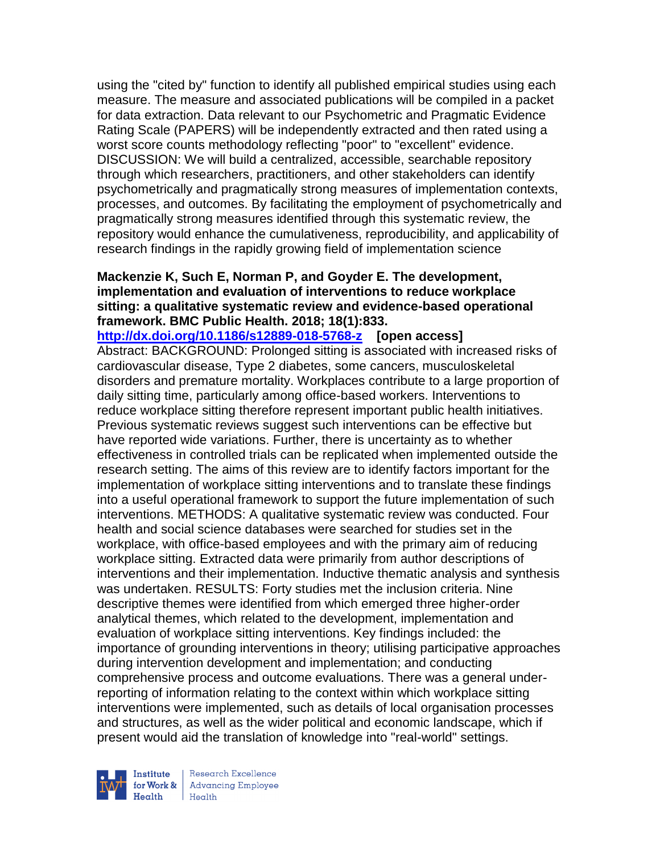using the "cited by" function to identify all published empirical studies using each measure. The measure and associated publications will be compiled in a packet for data extraction. Data relevant to our Psychometric and Pragmatic Evidence Rating Scale (PAPERS) will be independently extracted and then rated using a worst score counts methodology reflecting "poor" to "excellent" evidence. DISCUSSION: We will build a centralized, accessible, searchable repository through which researchers, practitioners, and other stakeholders can identify psychometrically and pragmatically strong measures of implementation contexts, processes, and outcomes. By facilitating the employment of psychometrically and pragmatically strong measures identified through this systematic review, the repository would enhance the cumulativeness, reproducibility, and applicability of research findings in the rapidly growing field of implementation science

# **Mackenzie K, Such E, Norman P, and Goyder E. The development, implementation and evaluation of interventions to reduce workplace sitting: a qualitative systematic review and evidence-based operational framework. BMC Public Health. 2018; 18(1):833.**

**<http://dx.doi.org/10.1186/s12889-018-5768-z>[open access]** Abstract: BACKGROUND: Prolonged sitting is associated with increased risks of cardiovascular disease, Type 2 diabetes, some cancers, musculoskeletal disorders and premature mortality. Workplaces contribute to a large proportion of daily sitting time, particularly among office-based workers. Interventions to reduce workplace sitting therefore represent important public health initiatives. Previous systematic reviews suggest such interventions can be effective but have reported wide variations. Further, there is uncertainty as to whether effectiveness in controlled trials can be replicated when implemented outside the research setting. The aims of this review are to identify factors important for the implementation of workplace sitting interventions and to translate these findings into a useful operational framework to support the future implementation of such interventions. METHODS: A qualitative systematic review was conducted. Four health and social science databases were searched for studies set in the workplace, with office-based employees and with the primary aim of reducing workplace sitting. Extracted data were primarily from author descriptions of interventions and their implementation. Inductive thematic analysis and synthesis was undertaken. RESULTS: Forty studies met the inclusion criteria. Nine descriptive themes were identified from which emerged three higher-order analytical themes, which related to the development, implementation and evaluation of workplace sitting interventions. Key findings included: the importance of grounding interventions in theory; utilising participative approaches during intervention development and implementation; and conducting comprehensive process and outcome evaluations. There was a general underreporting of information relating to the context within which workplace sitting interventions were implemented, such as details of local organisation processes and structures, as well as the wider political and economic landscape, which if present would aid the translation of knowledge into "real-world" settings.



Research Excellence for Work & | Advancing Employee  $H_{\text{eath}}$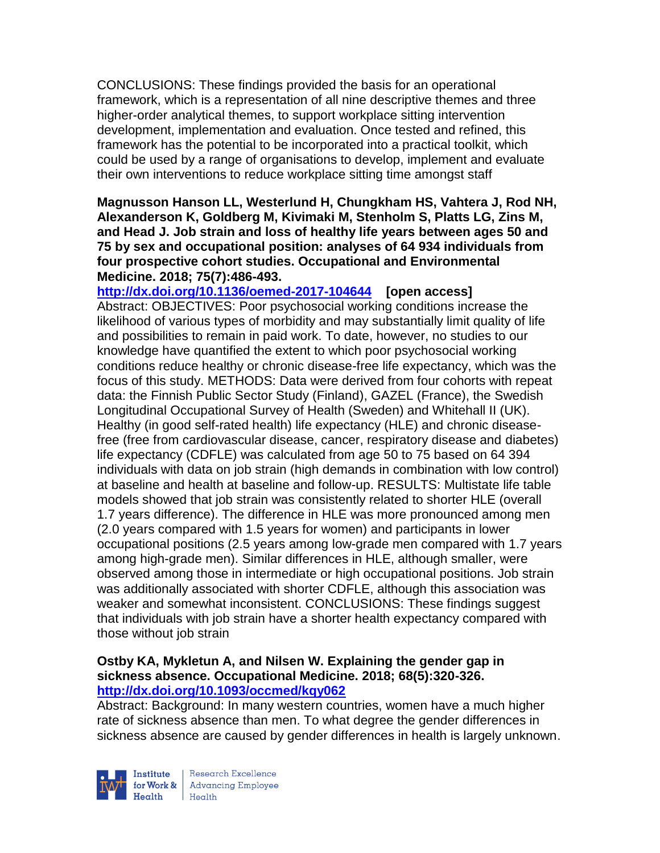CONCLUSIONS: These findings provided the basis for an operational framework, which is a representation of all nine descriptive themes and three higher-order analytical themes, to support workplace sitting intervention development, implementation and evaluation. Once tested and refined, this framework has the potential to be incorporated into a practical toolkit, which could be used by a range of organisations to develop, implement and evaluate their own interventions to reduce workplace sitting time amongst staff

**Magnusson Hanson LL, Westerlund H, Chungkham HS, Vahtera J, Rod NH, Alexanderson K, Goldberg M, Kivimaki M, Stenholm S, Platts LG, Zins M, and Head J. Job strain and loss of healthy life years between ages 50 and 75 by sex and occupational position: analyses of 64 934 individuals from four prospective cohort studies. Occupational and Environmental Medicine. 2018; 75(7):486-493.** 

**<http://dx.doi.org/10.1136/oemed-2017-104644>[open access]** Abstract: OBJECTIVES: Poor psychosocial working conditions increase the likelihood of various types of morbidity and may substantially limit quality of life and possibilities to remain in paid work. To date, however, no studies to our knowledge have quantified the extent to which poor psychosocial working conditions reduce healthy or chronic disease-free life expectancy, which was the focus of this study. METHODS: Data were derived from four cohorts with repeat data: the Finnish Public Sector Study (Finland), GAZEL (France), the Swedish Longitudinal Occupational Survey of Health (Sweden) and Whitehall II (UK). Healthy (in good self-rated health) life expectancy (HLE) and chronic diseasefree (free from cardiovascular disease, cancer, respiratory disease and diabetes) life expectancy (CDFLE) was calculated from age 50 to 75 based on 64 394 individuals with data on job strain (high demands in combination with low control) at baseline and health at baseline and follow-up. RESULTS: Multistate life table models showed that job strain was consistently related to shorter HLE (overall 1.7 years difference). The difference in HLE was more pronounced among men (2.0 years compared with 1.5 years for women) and participants in lower occupational positions (2.5 years among low-grade men compared with 1.7 years among high-grade men). Similar differences in HLE, although smaller, were observed among those in intermediate or high occupational positions. Job strain was additionally associated with shorter CDFLE, although this association was weaker and somewhat inconsistent. CONCLUSIONS: These findings suggest that individuals with job strain have a shorter health expectancy compared with those without job strain

### **Ostby KA, Mykletun A, and Nilsen W. Explaining the gender gap in sickness absence. Occupational Medicine. 2018; 68(5):320-326. <http://dx.doi.org/10.1093/occmed/kqy062>**

Abstract: Background: In many western countries, women have a much higher rate of sickness absence than men. To what degree the gender differences in sickness absence are caused by gender differences in health is largely unknown.



Research Excellence for Work & | Advancing Employee  $Heath$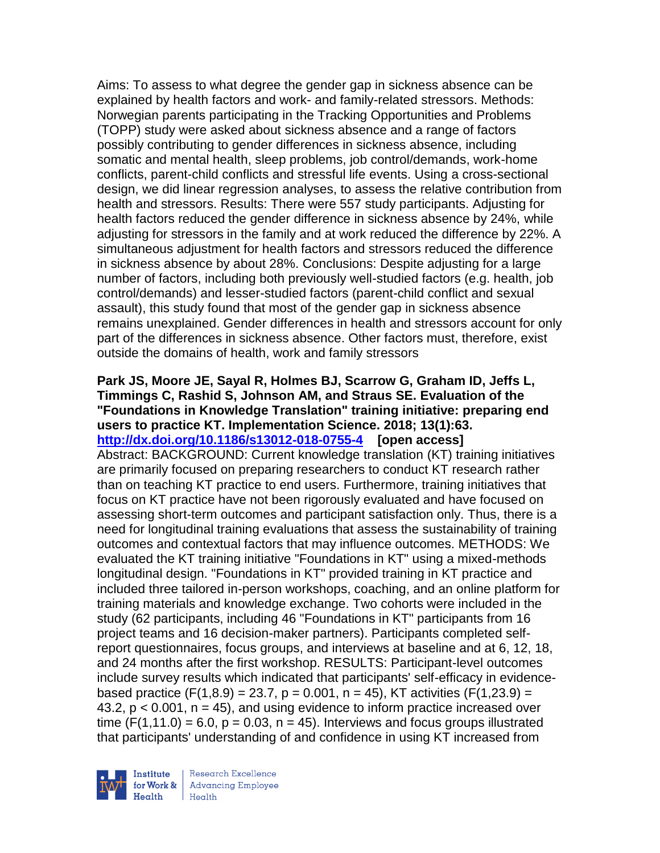Aims: To assess to what degree the gender gap in sickness absence can be explained by health factors and work- and family-related stressors. Methods: Norwegian parents participating in the Tracking Opportunities and Problems (TOPP) study were asked about sickness absence and a range of factors possibly contributing to gender differences in sickness absence, including somatic and mental health, sleep problems, job control/demands, work-home conflicts, parent-child conflicts and stressful life events. Using a cross-sectional design, we did linear regression analyses, to assess the relative contribution from health and stressors. Results: There were 557 study participants. Adjusting for health factors reduced the gender difference in sickness absence by 24%, while adjusting for stressors in the family and at work reduced the difference by 22%. A simultaneous adjustment for health factors and stressors reduced the difference in sickness absence by about 28%. Conclusions: Despite adjusting for a large number of factors, including both previously well-studied factors (e.g. health, job control/demands) and lesser-studied factors (parent-child conflict and sexual assault), this study found that most of the gender gap in sickness absence remains unexplained. Gender differences in health and stressors account for only part of the differences in sickness absence. Other factors must, therefore, exist outside the domains of health, work and family stressors

# **Park JS, Moore JE, Sayal R, Holmes BJ, Scarrow G, Graham ID, Jeffs L, Timmings C, Rashid S, Johnson AM, and Straus SE. Evaluation of the "Foundations in Knowledge Translation" training initiative: preparing end users to practice KT. Implementation Science. 2018; 13(1):63. <http://dx.doi.org/10.1186/s13012-018-0755-4>[open access]**

Abstract: BACKGROUND: Current knowledge translation (KT) training initiatives are primarily focused on preparing researchers to conduct KT research rather than on teaching KT practice to end users. Furthermore, training initiatives that focus on KT practice have not been rigorously evaluated and have focused on assessing short-term outcomes and participant satisfaction only. Thus, there is a need for longitudinal training evaluations that assess the sustainability of training outcomes and contextual factors that may influence outcomes. METHODS: We evaluated the KT training initiative "Foundations in KT" using a mixed-methods longitudinal design. "Foundations in KT" provided training in KT practice and included three tailored in-person workshops, coaching, and an online platform for training materials and knowledge exchange. Two cohorts were included in the study (62 participants, including 46 "Foundations in KT" participants from 16 project teams and 16 decision-maker partners). Participants completed selfreport questionnaires, focus groups, and interviews at baseline and at 6, 12, 18, and 24 months after the first workshop. RESULTS: Participant-level outcomes include survey results which indicated that participants' self-efficacy in evidencebased practice  $(F(1,8.9) = 23.7, p = 0.001, n = 45)$ , KT activities  $(F(1,23.9) =$ 43.2,  $p < 0.001$ ,  $n = 45$ ), and using evidence to inform practice increased over time  $(F(1, 11.0) = 6.0, p = 0.03, n = 45)$ . Interviews and focus groups illustrated that participants' understanding of and confidence in using KT increased from



Research Excellence **Advancing Employee** Health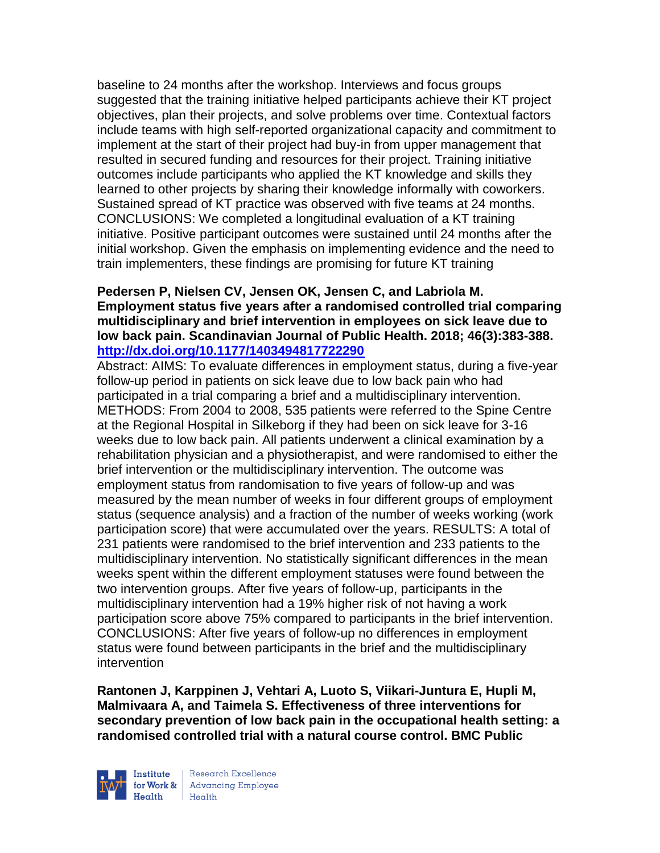baseline to 24 months after the workshop. Interviews and focus groups suggested that the training initiative helped participants achieve their KT project objectives, plan their projects, and solve problems over time. Contextual factors include teams with high self-reported organizational capacity and commitment to implement at the start of their project had buy-in from upper management that resulted in secured funding and resources for their project. Training initiative outcomes include participants who applied the KT knowledge and skills they learned to other projects by sharing their knowledge informally with coworkers. Sustained spread of KT practice was observed with five teams at 24 months. CONCLUSIONS: We completed a longitudinal evaluation of a KT training initiative. Positive participant outcomes were sustained until 24 months after the initial workshop. Given the emphasis on implementing evidence and the need to train implementers, these findings are promising for future KT training

# **Pedersen P, Nielsen CV, Jensen OK, Jensen C, and Labriola M. Employment status five years after a randomised controlled trial comparing multidisciplinary and brief intervention in employees on sick leave due to low back pain. Scandinavian Journal of Public Health. 2018; 46(3):383-388. <http://dx.doi.org/10.1177/1403494817722290>**

Abstract: AIMS: To evaluate differences in employment status, during a five-year follow-up period in patients on sick leave due to low back pain who had participated in a trial comparing a brief and a multidisciplinary intervention. METHODS: From 2004 to 2008, 535 patients were referred to the Spine Centre at the Regional Hospital in Silkeborg if they had been on sick leave for 3-16 weeks due to low back pain. All patients underwent a clinical examination by a rehabilitation physician and a physiotherapist, and were randomised to either the brief intervention or the multidisciplinary intervention. The outcome was employment status from randomisation to five years of follow-up and was measured by the mean number of weeks in four different groups of employment status (sequence analysis) and a fraction of the number of weeks working (work participation score) that were accumulated over the years. RESULTS: A total of 231 patients were randomised to the brief intervention and 233 patients to the multidisciplinary intervention. No statistically significant differences in the mean weeks spent within the different employment statuses were found between the two intervention groups. After five years of follow-up, participants in the multidisciplinary intervention had a 19% higher risk of not having a work participation score above 75% compared to participants in the brief intervention. CONCLUSIONS: After five years of follow-up no differences in employment status were found between participants in the brief and the multidisciplinary intervention

**Rantonen J, Karppinen J, Vehtari A, Luoto S, Viikari-Juntura E, Hupli M, Malmivaara A, and Taimela S. Effectiveness of three interventions for secondary prevention of low back pain in the occupational health setting: a randomised controlled trial with a natural course control. BMC Public**